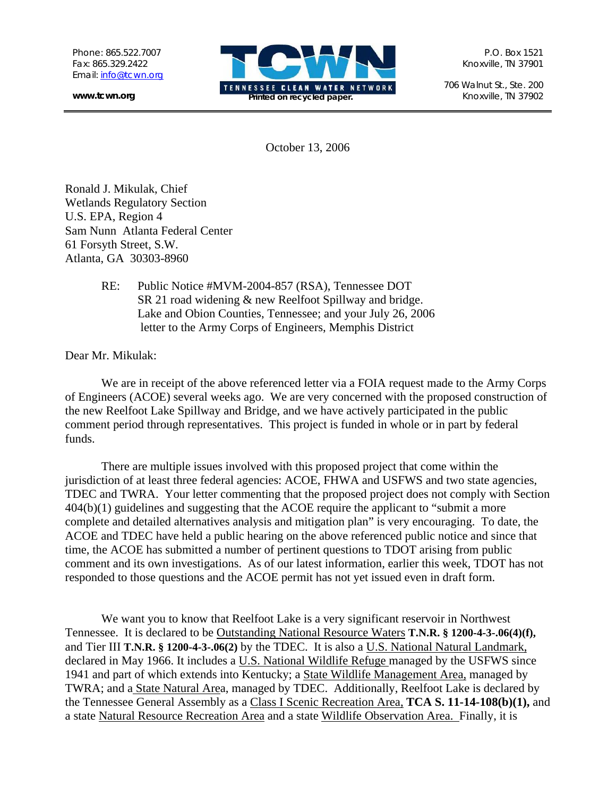**www.tcwn.org** 



706 Walnut St., Ste. 200

October 13, 2006

Ronald J. Mikulak, Chief Wetlands Regulatory Section U.S. EPA, Region 4 Sam Nunn Atlanta Federal Center 61 Forsyth Street, S.W. Atlanta, GA 30303-8960

> RE: Public Notice #MVM-2004-857 (RSA), Tennessee DOT SR 21 road widening & new Reelfoot Spillway and bridge. Lake and Obion Counties, Tennessee; and your July 26, 2006 letter to the Army Corps of Engineers, Memphis District

Dear Mr. Mikulak:

We are in receipt of the above referenced letter via a FOIA request made to the Army Corps of Engineers (ACOE) several weeks ago. We are very concerned with the proposed construction of the new Reelfoot Lake Spillway and Bridge, and we have actively participated in the public comment period through representatives. This project is funded in whole or in part by federal funds.

There are multiple issues involved with this proposed project that come within the jurisdiction of at least three federal agencies: ACOE, FHWA and USFWS and two state agencies, TDEC and TWRA. Your letter commenting that the proposed project does not comply with Section 404(b)(1) guidelines and suggesting that the ACOE require the applicant to "submit a more complete and detailed alternatives analysis and mitigation plan" is very encouraging. To date, the ACOE and TDEC have held a public hearing on the above referenced public notice and since that time, the ACOE has submitted a number of pertinent questions to TDOT arising from public comment and its own investigations. As of our latest information, earlier this week, TDOT has not responded to those questions and the ACOE permit has not yet issued even in draft form.

We want you to know that Reelfoot Lake is a very significant reservoir in Northwest Tennessee. It is declared to be Outstanding National Resource Waters **T.N.R. § 1200-4-3-.06(4)(f),** and Tier III **T.N.R. § 1200-4-3-.06(2)** by the TDEC. It is also a U.S. National Natural Landmark, declared in May 1966. It includes a U.S. National Wildlife Refuge managed by the USFWS since 1941 and part of which extends into Kentucky; a State Wildlife Management Area, managed by TWRA; and a State Natural Area, managed by TDEC. Additionally, Reelfoot Lake is declared by the Tennessee General Assembly as a Class I Scenic Recreation Area, **TCA S. 11-14-108(b)(1),** and a state Natural Resource Recreation Area and a state Wildlife Observation Area. Finally, it is